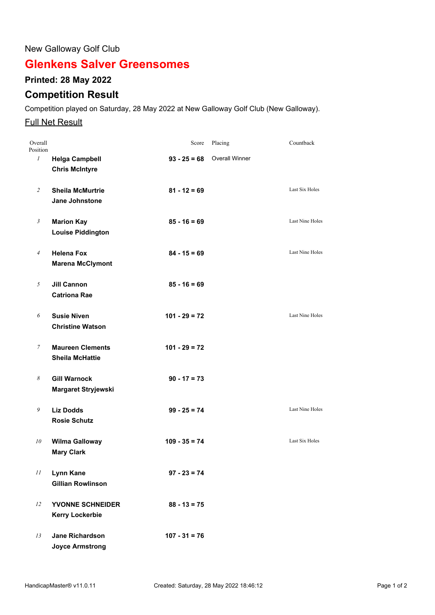## New Galloway Golf Club

# **Glenkens Salver Greensomes**

## **Printed: 28 May 2022**

## **Competition Result**

Competition played on Saturday, 28 May 2022 at New Galloway Golf Club (New Galloway).

#### **Full Net Result**

| Overall<br>Position |                                                   | Score           | Placing                       | Countback              |
|---------------------|---------------------------------------------------|-----------------|-------------------------------|------------------------|
| $\mathcal{I}$       | <b>Helga Campbell</b><br><b>Chris McIntyre</b>    |                 | $93 - 25 = 68$ Overall Winner |                        |
| $\overline{c}$      | <b>Sheila McMurtrie</b><br>Jane Johnstone         | $81 - 12 = 69$  |                               | Last Six Holes         |
| $\mathfrak{Z}$      | <b>Marion Kay</b><br><b>Louise Piddington</b>     | $85 - 16 = 69$  |                               | Last Nine Holes        |
| $\overline{4}$      | <b>Helena Fox</b><br><b>Marena McClymont</b>      | $84 - 15 = 69$  |                               | <b>Last Nine Holes</b> |
| 5                   | <b>Jill Cannon</b><br><b>Catriona Rae</b>         | $85 - 16 = 69$  |                               |                        |
| 6                   | <b>Susie Niven</b><br><b>Christine Watson</b>     | $101 - 29 = 72$ |                               | Last Nine Holes        |
| 7                   | <b>Maureen Clements</b><br><b>Sheila McHattie</b> | $101 - 29 = 72$ |                               |                        |
| 8                   | <b>Gill Warnock</b><br>Margaret Stryjewski        | $90 - 17 = 73$  |                               |                        |
| 9                   | <b>Liz Dodds</b><br><b>Rosie Schutz</b>           | $99 - 25 = 74$  |                               | Last Nine Holes        |
| 10                  | <b>Wilma Galloway</b><br><b>Mary Clark</b>        | $109 - 35 = 74$ |                               | <b>Last Six Holes</b>  |
| 11                  | Lynn Kane<br><b>Gillian Rowlinson</b>             | $97 - 23 = 74$  |                               |                        |
| 12                  | <b>YVONNE SCHNEIDER</b><br><b>Kerry Lockerbie</b> | $88 - 13 = 75$  |                               |                        |
| 13                  | <b>Jane Richardson</b><br><b>Joyce Armstrong</b>  | $107 - 31 = 76$ |                               |                        |